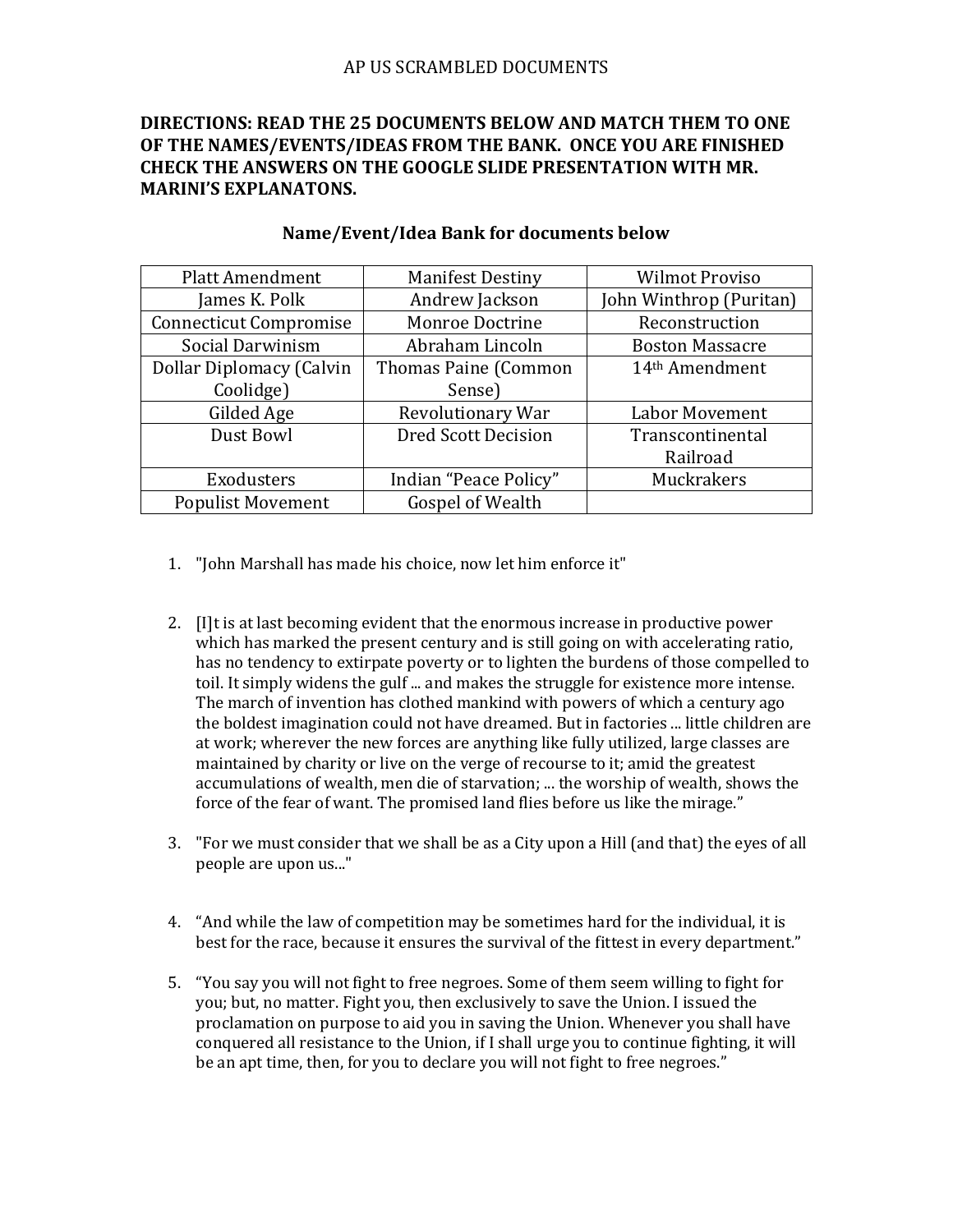# **DIRECTIONS: READ THE 25 DOCUMENTS BELOW AND MATCH THEM TO ONE OF THE NAMES/EVENTS/IDEAS FROM THE BANK. ONCE YOU ARE FINISHED CHECK THE ANSWERS ON THE GOOGLE SLIDE PRESENTATION WITH MR. MARINI'S EXPLANATONS.**

| <b>Platt Amendment</b>          | <b>Manifest Destiny</b>    | <b>Wilmot Proviso</b>      |
|---------------------------------|----------------------------|----------------------------|
| James K. Polk                   | Andrew Jackson             | John Winthrop (Puritan)    |
| <b>Connecticut Compromise</b>   | Monroe Doctrine            | Reconstruction             |
| Social Darwinism                | Abraham Lincoln            | <b>Boston Massacre</b>     |
| <b>Dollar Diplomacy (Calvin</b> | Thomas Paine (Common       | 14 <sup>th</sup> Amendment |
| Coolidge)                       | Sense)                     |                            |
| Gilded Age                      | Revolutionary War          | Labor Movement             |
| Dust Bowl                       | <b>Dred Scott Decision</b> | Transcontinental           |
|                                 |                            | Railroad                   |
| Exodusters                      | Indian "Peace Policy"      | Muckrakers                 |
| <b>Populist Movement</b>        | Gospel of Wealth           |                            |

### **Name/Event/Idea Bank for documents below**

- 1. "John Marshall has made his choice, now let him enforce it"
- 2. [I]t is at last becoming evident that the enormous increase in productive power which has marked the present century and is still going on with accelerating ratio, has no tendency to extirpate poverty or to lighten the burdens of those compelled to toil. It simply widens the gulf ... and makes the struggle for existence more intense. The march of invention has clothed mankind with powers of which a century ago the boldest imagination could not have dreamed. But in factories ... little children are at work; wherever the new forces are anything like fully utilized, large classes are maintained by charity or live on the verge of recourse to it; amid the greatest accumulations of wealth, men die of starvation; ... the worship of wealth, shows the force of the fear of want. The promised land flies before us like the mirage."
- 3. "For we must consider that we shall be as a City upon a Hill (and that) the eyes of all people are upon us..."
- 4. "And while the law of competition may be sometimes hard for the individual, it is best for the race, because it ensures the survival of the fittest in every department."
- 5. "You say you will not fight to free negroes. Some of them seem willing to fight for you; but, no matter. Fight you, then exclusively to save the Union. I issued the proclamation on purpose to aid you in saving the Union. Whenever you shall have conquered all resistance to the Union, if I shall urge you to continue fighting, it will be an apt time, then, for you to declare you will not fight to free negroes."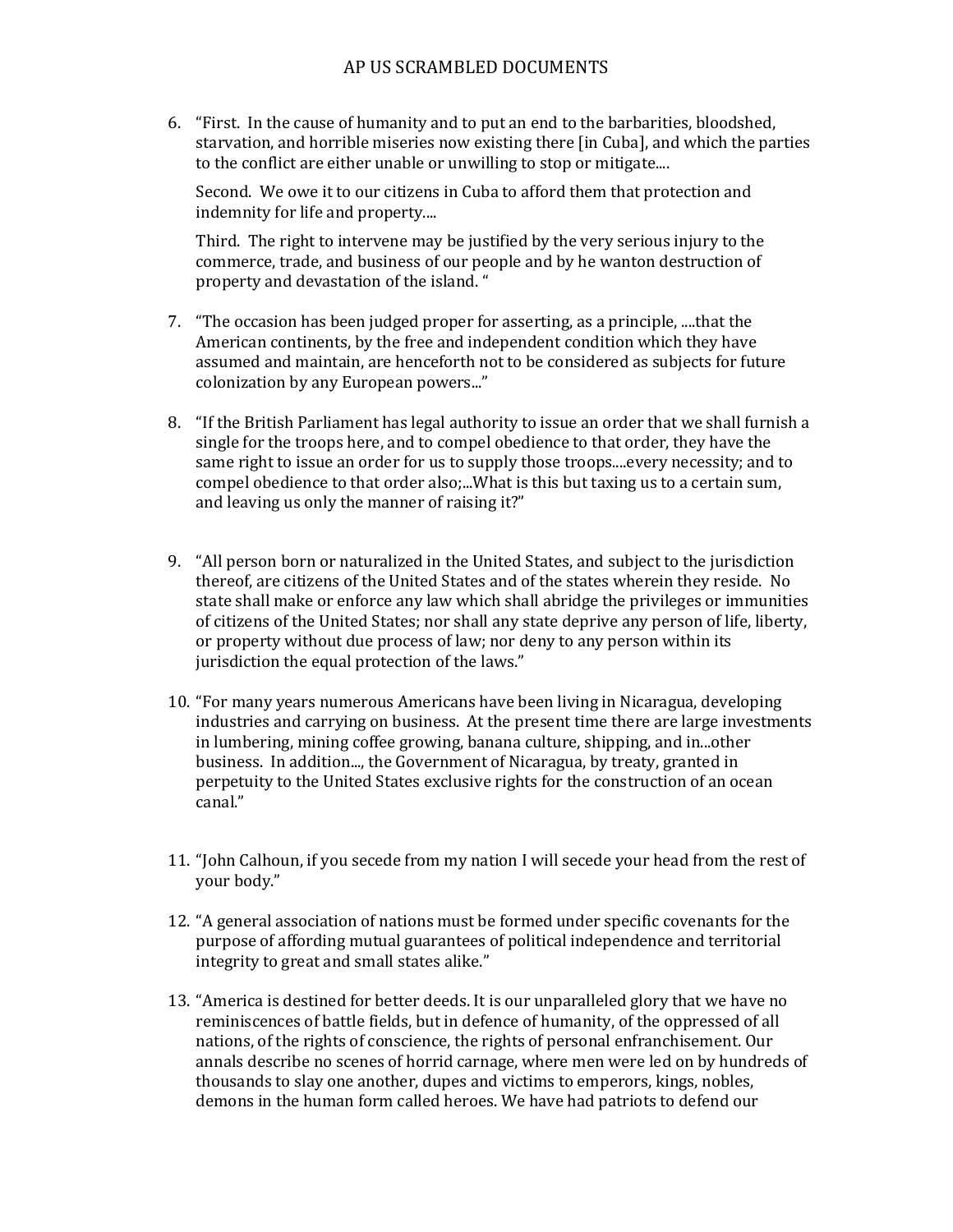## AP US SCRAMBLED DOCUMENTS

6. "First. In the cause of humanity and to put an end to the barbarities, bloodshed, starvation, and horrible miseries now existing there [in Cuba], and which the parties to the conflict are either unable or unwilling to stop or mitigate....

Second. We owe it to our citizens in Cuba to afford them that protection and indemnity for life and property....

Third. The right to intervene may be justified by the very serious injury to the commerce, trade, and business of our people and by he wanton destruction of property and devastation of the island. "

- 7. "The occasion has been judged proper for asserting, as a principle, ....that the American continents, by the free and independent condition which they have assumed and maintain, are henceforth not to be considered as subjects for future colonization by any European powers..."
- 8. "If the British Parliament has legal authority to issue an order that we shall furnish a single for the troops here, and to compel obedience to that order, they have the same right to issue an order for us to supply those troops....every necessity; and to compel obedience to that order also;...What is this but taxing us to a certain sum, and leaving us only the manner of raising it?"
- 9. "All person born or naturalized in the United States, and subject to the jurisdiction thereof, are citizens of the United States and of the states wherein they reside. No state shall make or enforce any law which shall abridge the privileges or immunities of citizens of the United States; nor shall any state deprive any person of life, liberty, or property without due process of law; nor deny to any person within its jurisdiction the equal protection of the laws."
- 10. "For many years numerous Americans have been living in Nicaragua, developing industries and carrying on business. At the present time there are large investments in lumbering, mining coffee growing, banana culture, shipping, and in...other business. In addition..., the Government of Nicaragua, by treaty, granted in perpetuity to the United States exclusive rights for the construction of an ocean canal."
- 11. "John Calhoun, if you secede from my nation I will secede your head from the rest of your body."
- 12. "A general association of nations must be formed under specific covenants for the purpose of affording mutual guarantees of political independence and territorial integrity to great and small states alike."
- 13. "America is destined for better deeds. It is our unparalleled glory that we have no reminiscences of battle fields, but in defence of humanity, of the oppressed of all nations, of the rights of conscience, the rights of personal enfranchisement. Our annals describe no scenes of horrid carnage, where men were led on by hundreds of thousands to slay one another, dupes and victims to emperors, kings, nobles, demons in the human form called heroes. We have had patriots to defend our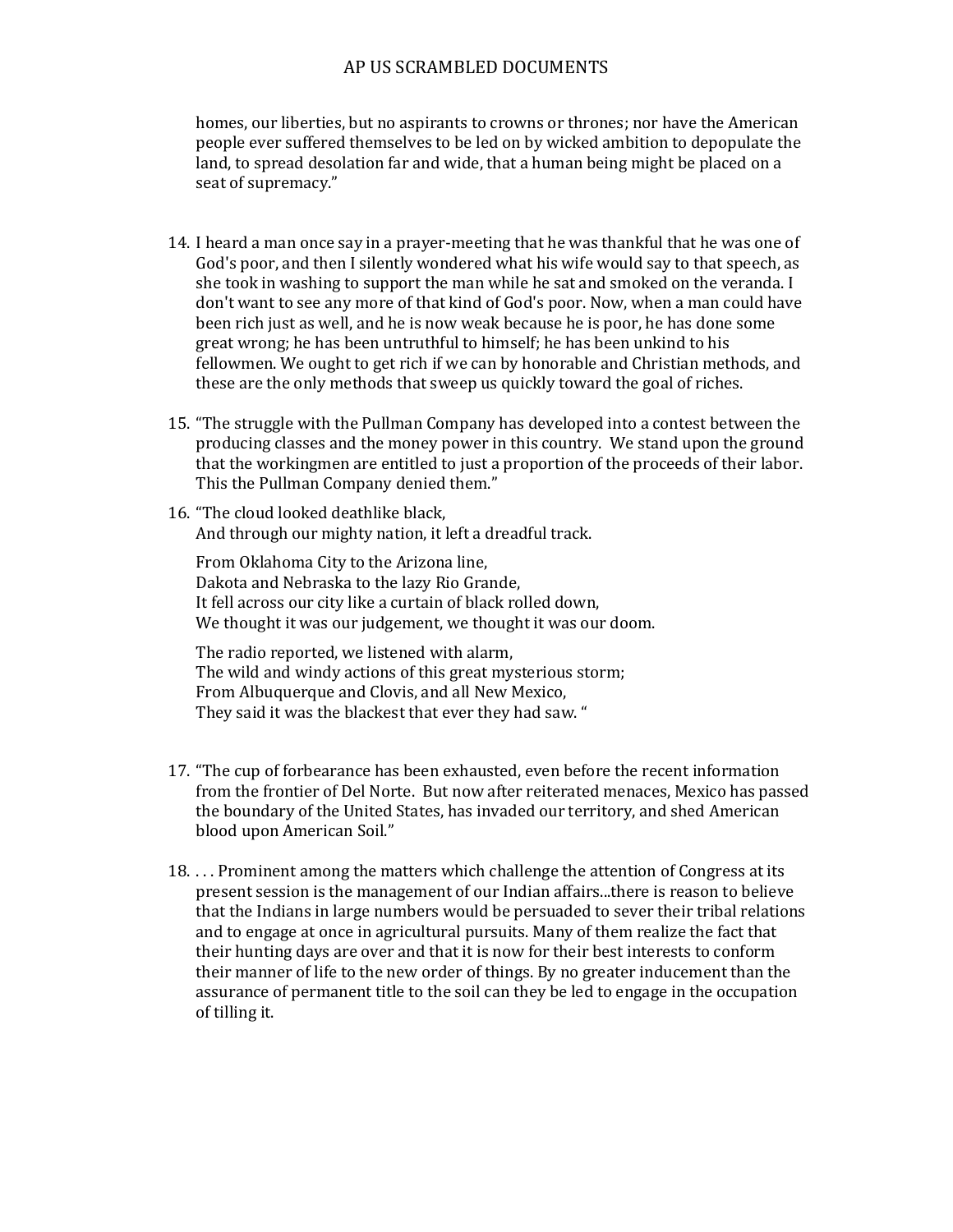#### AP US SCRAMBLED DOCUMENTS

homes, our liberties, but no aspirants to crowns or thrones; nor have the American people ever suffered themselves to be led on by wicked ambition to depopulate the land, to spread desolation far and wide, that a human being might be placed on a seat of supremacy."

- 14. I heard a man once say in a prayer-meeting that he was thankful that he was one of God's poor, and then I silently wondered what his wife would say to that speech, as she took in washing to support the man while he sat and smoked on the veranda. I don't want to see any more of that kind of God's poor. Now, when a man could have been rich just as well, and he is now weak because he is poor, he has done some great wrong; he has been untruthful to himself; he has been unkind to his fellowmen. We ought to get rich if we can by honorable and Christian methods, and these are the only methods that sweep us quickly toward the goal of riches.
- 15. "The struggle with the Pullman Company has developed into a contest between the producing classes and the money power in this country. We stand upon the ground that the workingmen are entitled to just a proportion of the proceeds of their labor. This the Pullman Company denied them."
- 16. "The cloud looked deathlike black, And through our mighty nation, it left a dreadful track.

From Oklahoma City to the Arizona line, Dakota and Nebraska to the lazy Rio Grande, It fell across our city like a curtain of black rolled down, We thought it was our judgement, we thought it was our doom.

The radio reported, we listened with alarm, The wild and windy actions of this great mysterious storm; From Albuquerque and Clovis, and all New Mexico, They said it was the blackest that ever they had saw. "

- 17. "The cup of forbearance has been exhausted, even before the recent information from the frontier of Del Norte. But now after reiterated menaces, Mexico has passed the boundary of the United States, has invaded our territory, and shed American blood upon American Soil."
- 18. . . . Prominent among the matters which challenge the attention of Congress at its present session is the management of our Indian affairs...there is reason to believe that the Indians in large numbers would be persuaded to sever their tribal relations and to engage at once in agricultural pursuits. Many of them realize the fact that their hunting days are over and that it is now for their best interests to conform their manner of life to the new order of things. By no greater inducement than the assurance of permanent title to the soil can they be led to engage in the occupation of tilling it.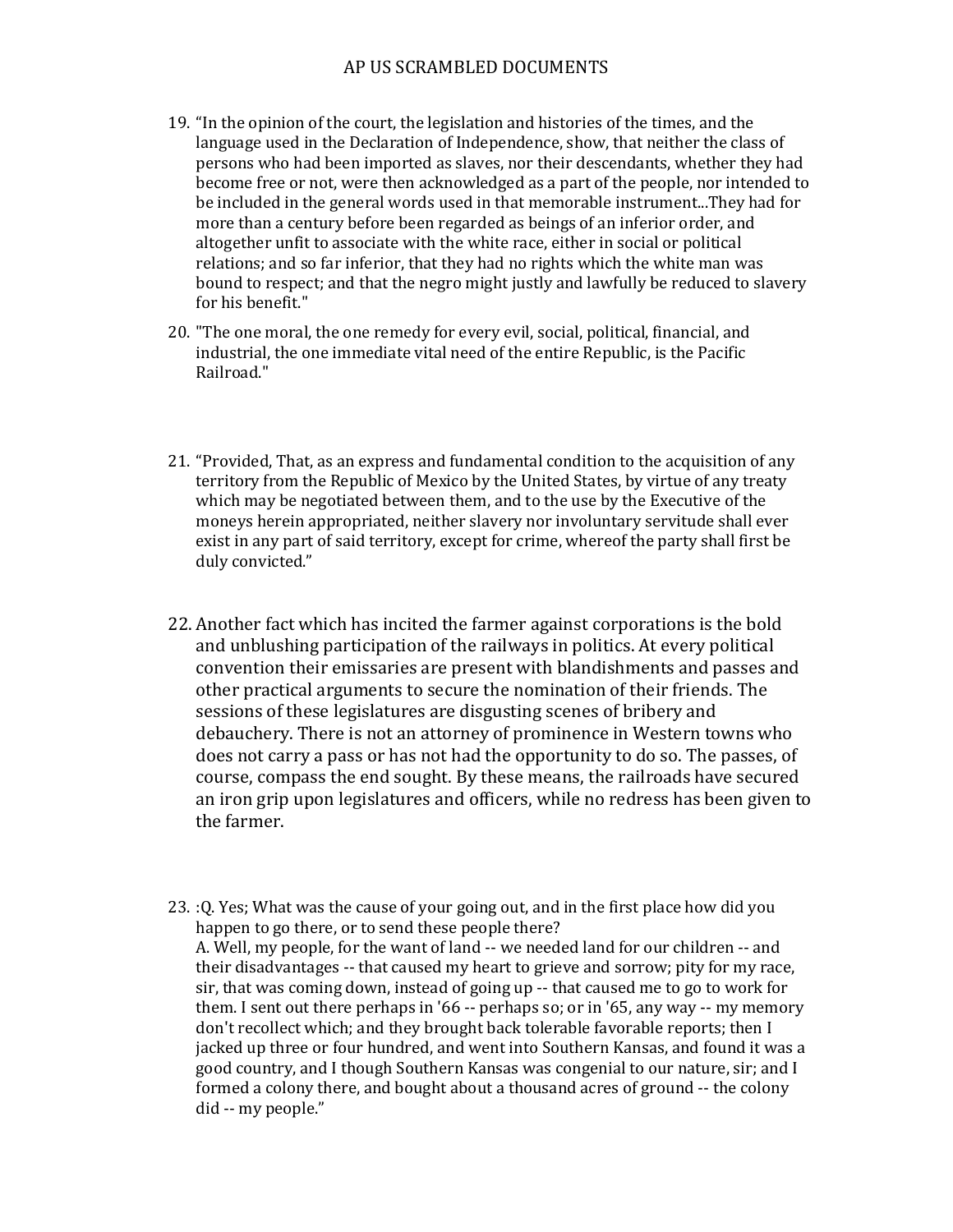### AP US SCRAMBLED DOCUMENTS

- 19. "In the opinion of the court, the legislation and histories of the times, and the language used in the Declaration of Independence, show, that neither the class of persons who had been imported as slaves, nor their descendants, whether they had become free or not, were then acknowledged as a part of the people, nor intended to be included in the general words used in that memorable instrument...They had for more than a century before been regarded as beings of an inferior order, and altogether unfit to associate with the white race, either in social or political relations; and so far inferior, that they had no rights which the white man was bound to respect; and that the negro might justly and lawfully be reduced to slavery for his benefit."
- 20. "The one moral, the one remedy for every evil, social, political, financial, and industrial, the one immediate vital need of the entire Republic, is the Pacific Railroad."
- 21. "Provided, That, as an express and fundamental condition to the acquisition of any territory from the Republic of Mexico by the United States, by virtue of any treaty which may be negotiated between them, and to the use by the Executive of the moneys herein appropriated, neither slavery nor involuntary servitude shall ever exist in any part of said territory, except for crime, whereof the party shall first be duly convicted."
- 22. Another fact which has incited the farmer against corporations is the bold and unblushing participation of the railways in politics. At every political convention their emissaries are present with blandishments and passes and other practical arguments to secure the nomination of their friends. The sessions of these legislatures are disgusting scenes of bribery and debauchery. There is not an attorney of prominence in Western towns who does not carry a pass or has not had the opportunity to do so. The passes, of course, compass the end sought. By these means, the railroads have secured an iron grip upon legislatures and officers, while no redress has been given to the farmer.
- 23. :Q. Yes; What was the cause of your going out, and in the first place how did you happen to go there, or to send these people there? A. Well, my people, for the want of land -- we needed land for our children -- and their disadvantages -- that caused my heart to grieve and sorrow; pity for my race, sir, that was coming down, instead of going up -- that caused me to go to work for them. I sent out there perhaps in '66 -- perhaps so; or in '65, any way -- my memory don't recollect which; and they brought back tolerable favorable reports; then I jacked up three or four hundred, and went into Southern Kansas, and found it was a good country, and I though Southern Kansas was congenial to our nature, sir; and I formed a colony there, and bought about a thousand acres of ground -- the colony did -- my people."